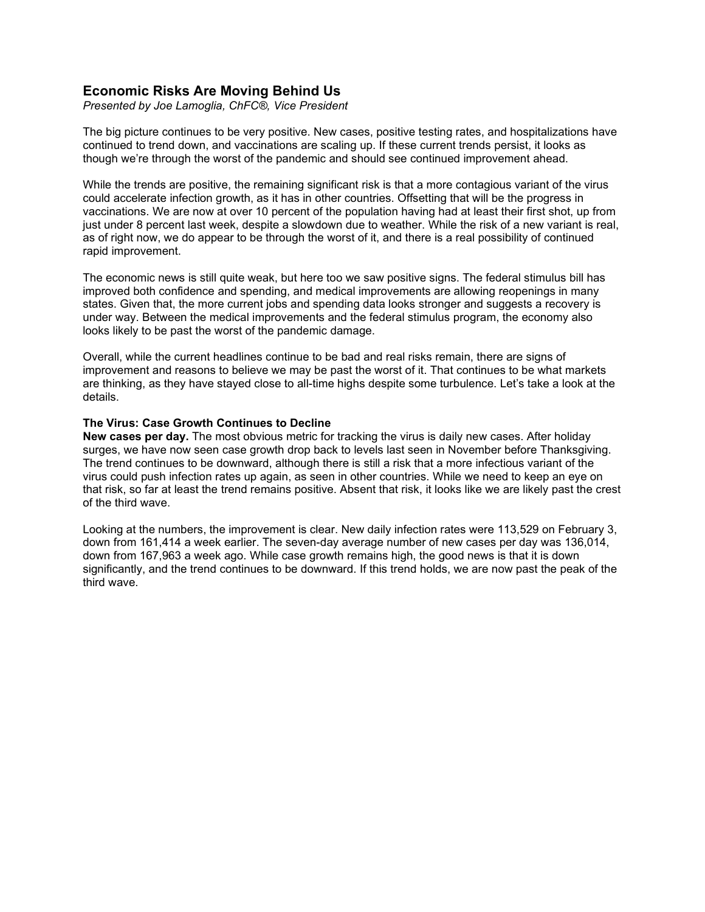# **Economic Risks Are Moving Behind Us**

*Presented by Joe Lamoglia, ChFC®, Vice President*

The big picture continues to be very positive. New cases, positive testing rates, and hospitalizations have continued to trend down, and vaccinations are scaling up. If these current trends persist, it looks as though we're through the worst of the pandemic and should see continued improvement ahead.

While the trends are positive, the remaining significant risk is that a more contagious variant of the virus could accelerate infection growth, as it has in other countries. Offsetting that will be the progress in vaccinations. We are now at over 10 percent of the population having had at least their first shot, up from just under 8 percent last week, despite a slowdown due to weather. While the risk of a new variant is real, as of right now, we do appear to be through the worst of it, and there is a real possibility of continued rapid improvement.

The economic news is still quite weak, but here too we saw positive signs. The federal stimulus bill has improved both confidence and spending, and medical improvements are allowing reopenings in many states. Given that, the more current jobs and spending data looks stronger and suggests a recovery is under way. Between the medical improvements and the federal stimulus program, the economy also looks likely to be past the worst of the pandemic damage.

Overall, while the current headlines continue to be bad and real risks remain, there are signs of improvement and reasons to believe we may be past the worst of it. That continues to be what markets are thinking, as they have stayed close to all-time highs despite some turbulence. Let's take a look at the details.

# **The Virus: Case Growth Continues to Decline**

**New cases per day.** The most obvious metric for tracking the virus is daily new cases. After holiday surges, we have now seen case growth drop back to levels last seen in November before Thanksgiving. The trend continues to be downward, although there is still a risk that a more infectious variant of the virus could push infection rates up again, as seen in other countries. While we need to keep an eye on that risk, so far at least the trend remains positive. Absent that risk, it looks like we are likely past the crest of the third wave.

Looking at the numbers, the improvement is clear. New daily infection rates were 113,529 on February 3, down from 161,414 a week earlier. The seven-day average number of new cases per day was 136,014, down from 167,963 a week ago. While case growth remains high, the good news is that it is down significantly, and the trend continues to be downward. If this trend holds, we are now past the peak of the third wave.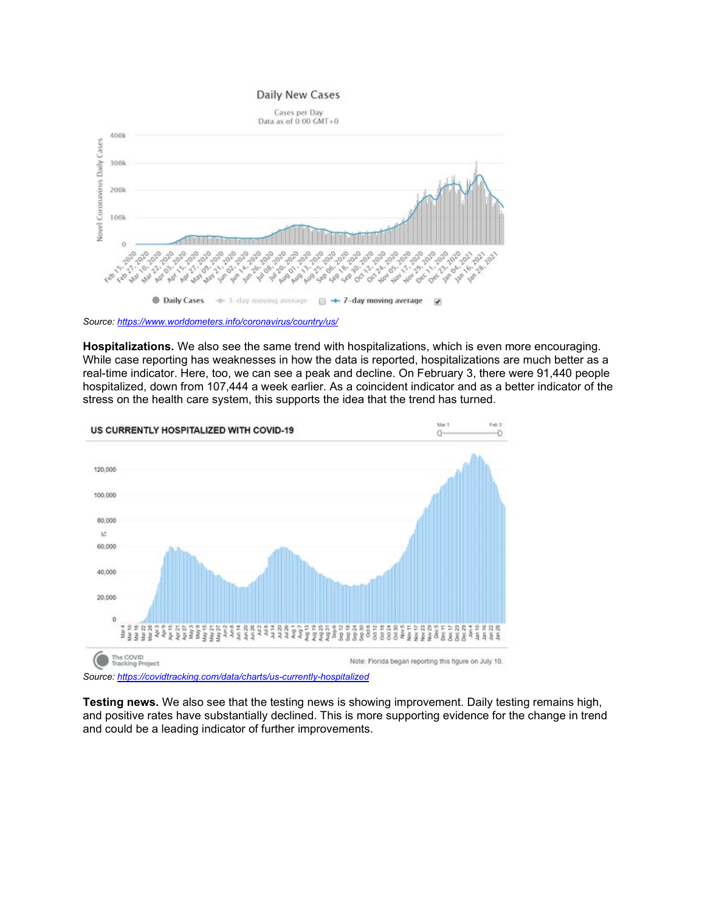# **Daily New Cases**



*Source: <https://www.worldometers.info/coronavirus/country/us/>*

**Hospitalizations.** We also see the same trend with hospitalizations, which is even more encouraging. While case reporting has weaknesses in how the data is reported, hospitalizations are much better as a real-time indicator. Here, too, we can see a peak and decline. On February 3, there were 91,440 people hospitalized, down from 107,444 a week earlier. As a coincident indicator and as a better indicator of the stress on the health care system, this supports the idea that the trend has turned.



*Source: <https://covidtracking.com/data/charts/us-currently-hospitalized>*

**Testing news.** We also see that the testing news is showing improvement. Daily testing remains high, and positive rates have substantially declined. This is more supporting evidence for the change in trend and could be a leading indicator of further improvements.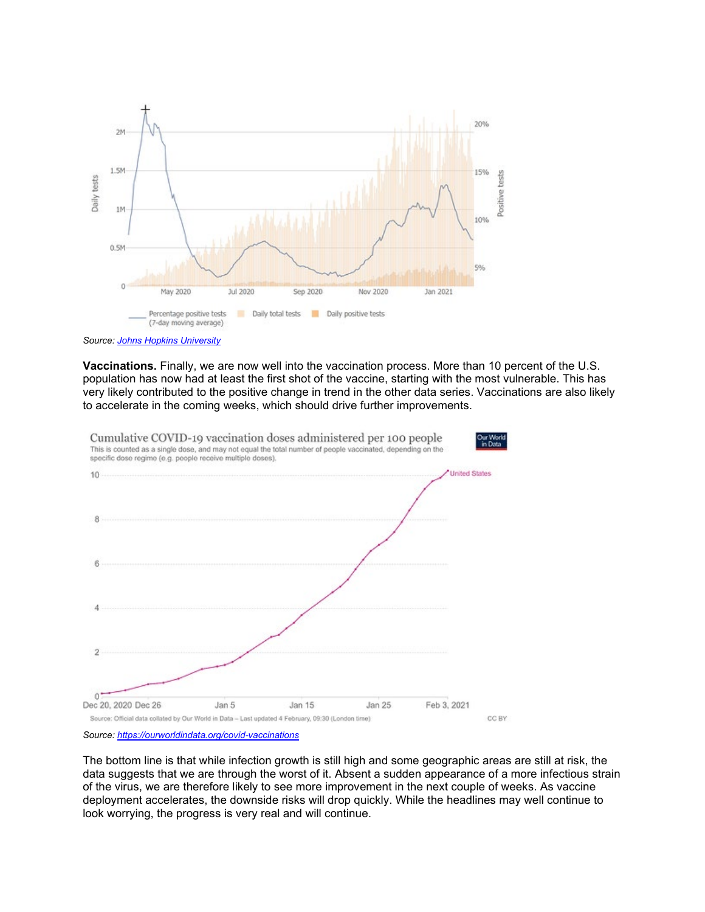

*Source: [Johns Hopkins University](https://coronavirus.jhu.edu/testing/individual-states/usa)*

**Vaccinations.** Finally, we are now well into the vaccination process. More than 10 percent of the U.S. population has now had at least the first shot of the vaccine, starting with the most vulnerable. This has very likely contributed to the positive change in trend in the other data series. Vaccinations are also likely to accelerate in the coming weeks, which should drive further improvements.



*Source: <https://ourworldindata.org/covid-vaccinations>*

The bottom line is that while infection growth is still high and some geographic areas are still at risk, the data suggests that we are through the worst of it. Absent a sudden appearance of a more infectious strain of the virus, we are therefore likely to see more improvement in the next couple of weeks. As vaccine deployment accelerates, the downside risks will drop quickly. While the headlines may well continue to look worrying, the progress is very real and will continue.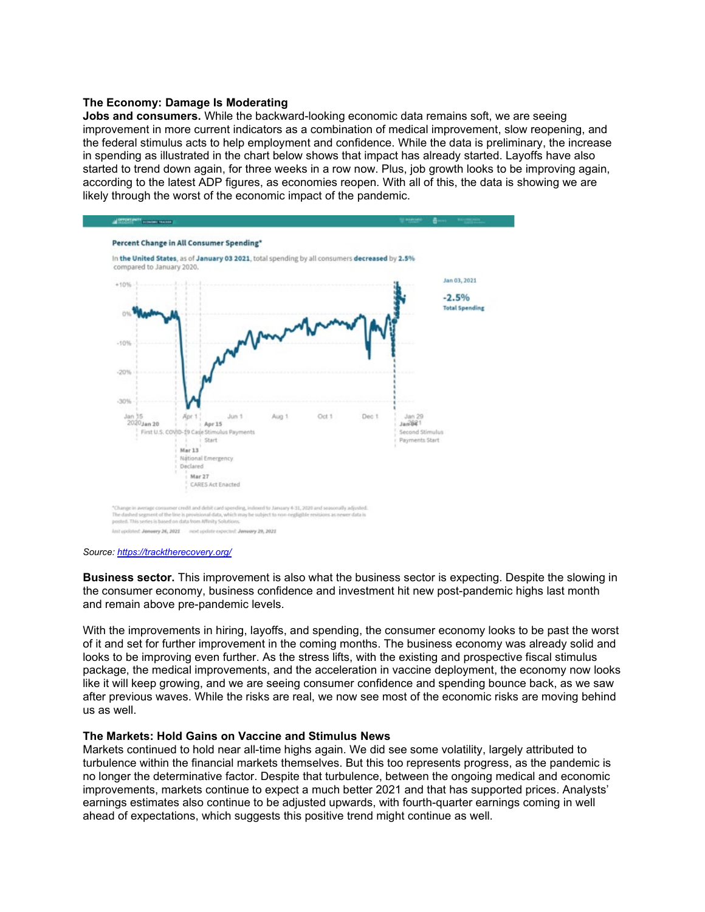### **The Economy: Damage Is Moderating**

**Jobs and consumers.** While the backward-looking economic data remains soft, we are seeing improvement in more current indicators as a combination of medical improvement, slow reopening, and the federal stimulus acts to help employment and confidence. While the data is preliminary, the increase in spending as illustrated in the chart below shows that impact has already started. Layoffs have also started to trend down again, for three weeks in a row now. Plus, job growth looks to be improving again, according to the latest ADP figures, as economies reopen. With all of this, the data is showing we are likely through the worst of the economic impact of the pandemic.



#### *Source: <https://tracktherecovery.org/>*

**Business sector.** This improvement is also what the business sector is expecting. Despite the slowing in the consumer economy, business confidence and investment hit new post-pandemic highs last month and remain above pre-pandemic levels.

With the improvements in hiring, layoffs, and spending, the consumer economy looks to be past the worst of it and set for further improvement in the coming months. The business economy was already solid and looks to be improving even further. As the stress lifts, with the existing and prospective fiscal stimulus package, the medical improvements, and the acceleration in vaccine deployment, the economy now looks like it will keep growing, and we are seeing consumer confidence and spending bounce back, as we saw after previous waves. While the risks are real, we now see most of the economic risks are moving behind us as well.

## **The Markets: Hold Gains on Vaccine and Stimulus News**

Markets continued to hold near all-time highs again. We did see some volatility, largely attributed to turbulence within the financial markets themselves. But this too represents progress, as the pandemic is no longer the determinative factor. Despite that turbulence, between the ongoing medical and economic improvements, markets continue to expect a much better 2021 and that has supported prices. Analysts' earnings estimates also continue to be adjusted upwards, with fourth-quarter earnings coming in well ahead of expectations, which suggests this positive trend might continue as well.